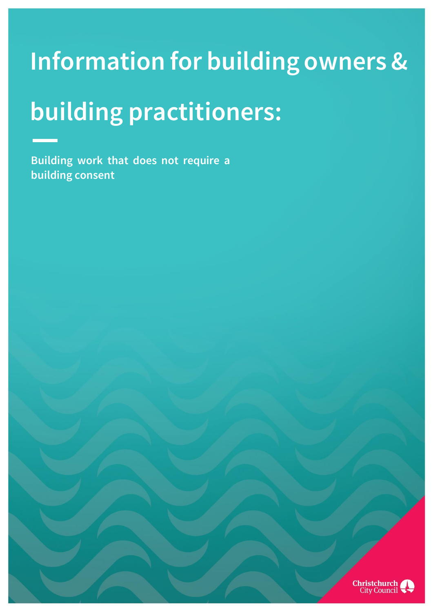# **Information for building owners &**

# **building practitioners:**

**Building work that does not require a building consent**

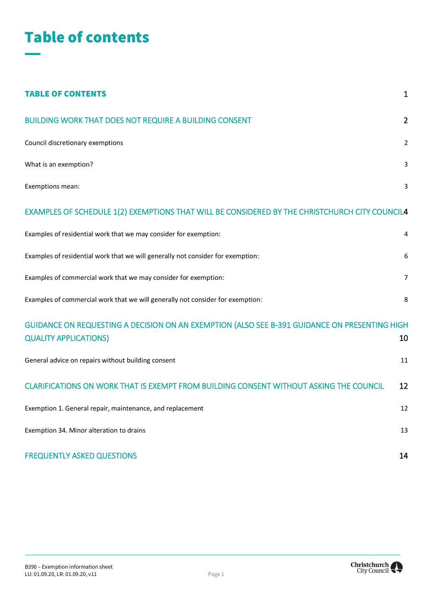

| <b>TABLE OF CONTENTS</b>                                                                                                      | $\mathbf{1}$   |
|-------------------------------------------------------------------------------------------------------------------------------|----------------|
| <b>BUILDING WORK THAT DOES NOT REQUIRE A BUILDING CONSENT</b>                                                                 | $\overline{2}$ |
| Council discretionary exemptions                                                                                              | $\overline{2}$ |
| What is an exemption?                                                                                                         | 3              |
| Exemptions mean:                                                                                                              | 3              |
| EXAMPLES OF SCHEDULE 1(2) EXEMPTIONS THAT WILL BE CONSIDERED BY THE CHRISTCHURCH CITY COUNCIL4                                |                |
| Examples of residential work that we may consider for exemption:                                                              | 4              |
| Examples of residential work that we will generally not consider for exemption:                                               | 6              |
| Examples of commercial work that we may consider for exemption:                                                               | $\overline{7}$ |
| Examples of commercial work that we will generally not consider for exemption:                                                | 8              |
| GUIDANCE ON REQUESTING A DECISION ON AN EXEMPTION (ALSO SEE B-391 GUIDANCE ON PRESENTING HIGH<br><b>QUALITY APPLICATIONS)</b> | 10             |
| General advice on repairs without building consent                                                                            | 11             |
| CLARIFICATIONS ON WORK THAT IS EXEMPT FROM BUILDING CONSENT WITHOUT ASKING THE COUNCIL                                        | 12             |
| Exemption 1. General repair, maintenance, and replacement                                                                     | 12             |
| Exemption 34. Minor alteration to drains                                                                                      | 13             |
| <b>FREQUENTLY ASKED QUESTIONS</b>                                                                                             | 14             |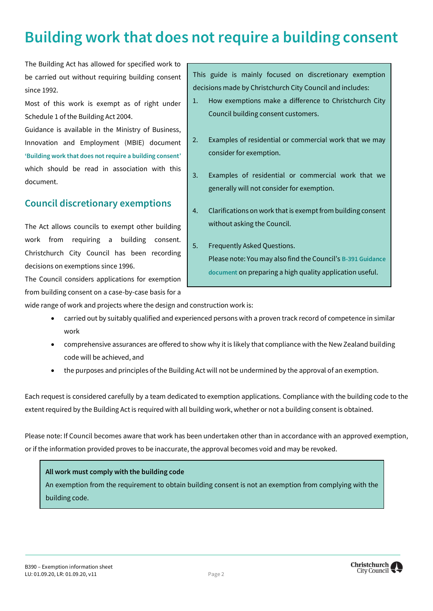# <span id="page-2-0"></span>**Building work that does not require a building consent**

The Building Act has allowed for specified work to be carried out without requiring building consent since 1992.

Most of this work is exempt as of right under Schedule 1 of the Building Act 2004.

Guidance is available in the Ministry of Business, Innovation and Employment (MBIE) document **'[Building work that does not require a building consent](https://www.building.govt.nz/projects-and-consents/planning-a-successful-build/scope-and-design/check-if-you-need-consents/building-consent-exemptions-for-low-risk-work/schedule-1-guidance/)'** which should be read in association with this document.

# <span id="page-2-1"></span>**Council discretionary exemptions**

The Act allows councils to exempt other building work from requiring a building consent. Christchurch City Council has been recording decisions on exemptions since 1996.

The Council considers applications for exemption from building consent on a case-by-case basis for a This guide is mainly focused on discretionary exemption decisions made by Christchurch City Council and includes:

- 1. How exemptions make a difference to Christchurch City Council building consent customers.
- 2. Examples of residential or commercial work that we may consider for exemption.
- 3. Examples of residential or commercial work that we generally will not consider for exemption.
- 4. Clarifications on work that is exempt from building consent without asking the Council.
- 5. Frequently Asked Questions. Please note: You may also find the Council's **[B-391 Guidance](http://www.ccc.govt.nz/assets/Documents/Consents-and-Licences/building-consents/B391-ExemptionApplicationGuidance.pdf)  [document](http://www.ccc.govt.nz/assets/Documents/Consents-and-Licences/building-consents/B391-ExemptionApplicationGuidance.pdf)** on preparing a high quality application useful.

wide range of work and projects where the design and construction work is:

- carried out by suitably qualified and experienced persons with a proven track record of competence in similar work
- comprehensive assurances are offered to show why it is likely that compliance with the New Zealand building code will be achieved, and
- the purposes and principles of the Building Act will not be undermined by the approval of an exemption.

Each request is considered carefully by a team dedicated to exemption applications. Compliance with the building code to the extent required by the Building Act is required with all building work, whether or not a building consent is obtained.

Please note: If Council becomes aware that work has been undertaken other than in accordance with an approved exemption, or if the information provided proves to be inaccurate, the approval becomes void and may be revoked.

#### **All work must comply with the building code**

An exemption from the requirement to obtain building consent is not an exemption from complying with the building code.

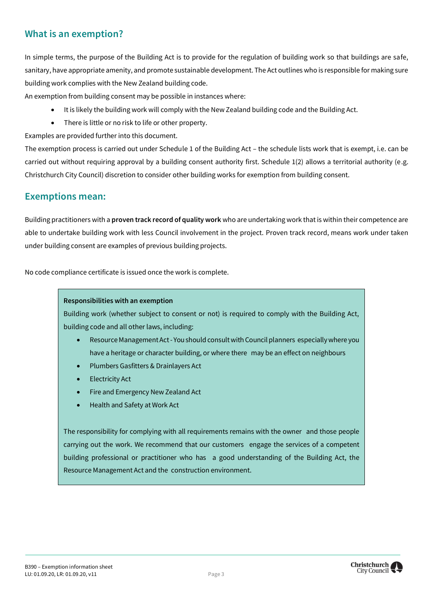### <span id="page-3-0"></span>**What is an exemption?**

In simple terms, the purpose of the Building Act is to provide for the regulation of building work so that buildings are safe, sanitary, have appropriate amenity, and promote sustainable development. The Act outlines who is responsible for making sure building work complies with the New Zealand building code.

An exemption from building consent may be possible in instances where:

- It is likely the building work will comply with the New Zealand building code and the Building Act.
- There is little or no risk to life or other property.

Examples are provided further into this document.

The exemption process is carried out under Schedule 1 of the Building Act – the schedule lists work that is exempt, i.e. can be carried out without requiring approval by a building consent authority first. Schedule 1(2) allows a territorial authority (e.g. Christchurch City Council) discretion to consider other building works for exemption from building consent.

#### <span id="page-3-1"></span>**Exemptions mean:**

Building practitioners with a **proven track record of quality work** who are undertaking work that is within their competence are able to undertake building work with less Council involvement in the project. Proven track record, means work under taken under building consent are examples of previous building projects.

No code compliance certificate is issued once the work is complete.

#### **Responsibilities with an exemption**

Building work (whether subject to consent or not) is required to comply with the Building Act, building code and all other laws, including:

- Resource Management Act You should consult with Council planners especially where you have a heritage or character building, or where there may be an effect on neighbours
- Plumbers Gasfitters & Drainlayers Act
- Electricity Act
- Fire and Emergency New Zealand Act
- Health and Safety at Work Act

The responsibility for complying with all requirements remains with the owner and those people carrying out the work. We recommend that our customers engage the services of a competent building professional or practitioner who has a good understanding of the Building Act, the Resource Management Act and the construction environment.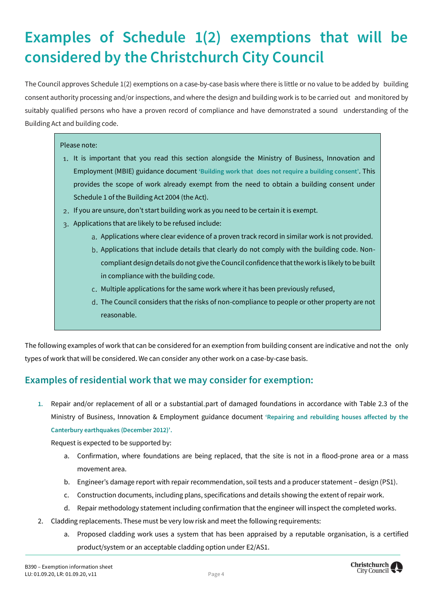# <span id="page-4-0"></span>**Examples of Schedule 1(2) exemptions that will be considered by the Christchurch City Council**

The Council approves Schedule 1(2) exemptions on a case-by-case basis where there is little or no value to be added by building consent authority processing and/or inspections, and where the design and building work is to be carried out and monitored by suitably qualified persons who have a proven record of compliance and have demonstrated a sound understanding of the Building Act and building code.

#### Please note:

- 1. It is important that you read this section alongside the Ministry of Business, Innovation and Employment (MBIE) guidance document **['Building work that](https://www.building.govt.nz/projects-and-consents/planning-a-successful-build/scope-and-design/check-if-you-need-consents/building-consent-exemptions-for-low-risk-work/schedule-1-guidance/) [does not require a building consent'](https://www.building.govt.nz/projects-and-consents/planning-a-successful-build/scope-and-design/check-if-you-need-consents/building-consent-exemptions-for-low-risk-work/schedule-1-guidance/)**. This provides the scope of work already exempt from the need to obtain a building consent under Schedule 1 of the Building Act 2004 (the Act).
- 2. If you are unsure, don't start building work as you need to be certain it is exempt.
- 3. Applications that are likely to be refused include:
	- a. Applications where clear evidence of a proven track record in similar work is not provided.
	- b. Applications that include details that clearly do not comply with the building code. Noncompliant design details do not give the Council confidence that the work is likely to be built in compliance with the building code.
	- c. Multiple applications for the same work where it has been previously refused,
	- d. The Council considers that the risks of non-compliance to people or other property are not reasonable.

The following examples of work that can be considered for an exemption from building consent are indicative and not the only types of work that will be considered. We can consider any other work on a case-by-case basis.

#### <span id="page-4-1"></span>**Examples of residential work that we may consider for exemption:**

**1.** Repair and/or replacement of all or a substantial part of damaged foundations in accordance with Table 2.3 of the Ministry of Business, Innovation & Employment guidance document **['Repairing and rebuilding houses affected by the](https://www.building.govt.nz/building-code-compliance/canterbury-rebuild/repairing-and-rebuilding-houses-affected-by-the-canterbury-earthquakes/) [Canterbury earthquakes \(December 2012\)'](https://www.building.govt.nz/building-code-compliance/canterbury-rebuild/repairing-and-rebuilding-houses-affected-by-the-canterbury-earthquakes/).**

Request is expected to be supported by:

- a. Confirmation, where foundations are being replaced, that the site is not in a flood-prone area or a mass movement area.
- b. Engineer's damage report with repair recommendation, soil tests and a producer statement design (PS1).
- c. Construction documents, including plans, specifications and details showing the extent of repair work.
- d. Repair methodology statement including confirmation that the engineer will inspect the completed works.
- 2. Cladding replacements. These must be very low risk and meet the following requirements:
	- a. Proposed cladding work uses a system that has been appraised by a reputable organisation, is a certified product/system or an acceptable cladding option under E2/AS1.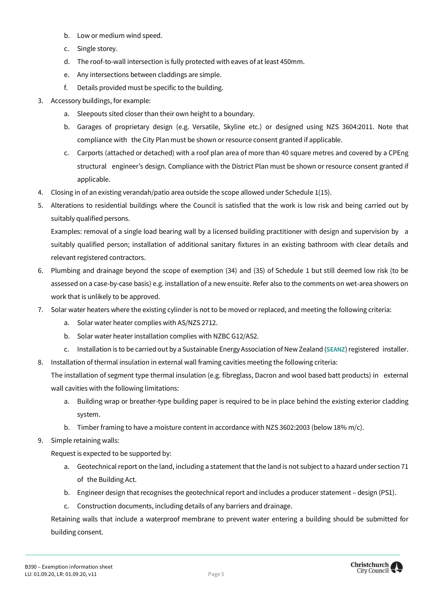- b. Low or medium wind speed.
- c. Single storey.
- d. The roof-to-wall intersection is fully protected with eaves of at least 450mm.
- e. Any intersections between claddings are simple.
- f. Details provided must be specific to the building.
- 3. Accessory buildings, for example:
	- a. Sleepouts sited closer than their own height to a boundary.
	- b. Garages of proprietary design (e.g. Versatile, Skyline etc.) or designed using NZS 3604:2011. Note that compliance with the City Plan must be shown or resource consent granted if applicable.
	- c. Carports (attached or detached) with a roof plan area of more than 40 square metres and covered by a CPEng structural engineer's design. Compliance with the District Plan must be shown or resource consent granted if applicable.
- 4. Closing in of an existing verandah/patio area outside the scope allowed under Schedule 1(15).
- 5. Alterations to residential buildings where the Council is satisfied that the work is low risk and being carried out by suitably qualified persons.

Examples: removal of a single load bearing wall by a licensed building practitioner with design and supervision by a suitably qualified person; installation of additional sanitary fixtures in an existing bathroom with clear details and relevant registered contractors.

- 6. Plumbing and drainage beyond the scope of exemption (34) and (35) of Schedule 1 but still deemed low risk (to be assessed on a case-by-case basis) e.g. installation of a new ensuite. Refer also to the comments on wet-area showers on work that is unlikely to be approved.
- 7. Solar water heaters where the existing cylinder is not to be moved or replaced, and meeting the following criteria:
	- a. Solar water heater complies with AS/NZS 2712.
	- b. Solar water heater installation complies with NZBC G12/AS2.
	- c. Installation is to be carried out by a Sustainable Energy Association ofNewZealand (**[SEANZ](http://www.seanz.org.nz/)**)registered installer.
- 8. Installation of thermal insulation in external wall framing cavities meeting the following criteria:

The installation of segment type thermal insulation (e.g. fibreglass, Dacron and wool based batt products) in external wall cavities with the following limitations:

- a. Building wrap or breather-type building paper is required to be in place behind the existing exterior cladding system.
- b. Timber framing to have a moisture content in accordance with NZS 3602:2003 (below 18% m/c).
- 9. Simple retaining walls:

Request is expected to be supported by:

- a. Geotechnical report on the land, including a statement that the land is not subject to a hazard under section 71 of the Building Act.
- b. Engineer design that recognises the geotechnical report and includes a producer statement design (PS1).
- c. Construction documents, including details of any barriers and drainage.

Retaining walls that include a waterproof membrane to prevent water entering a building should be submitted for building consent.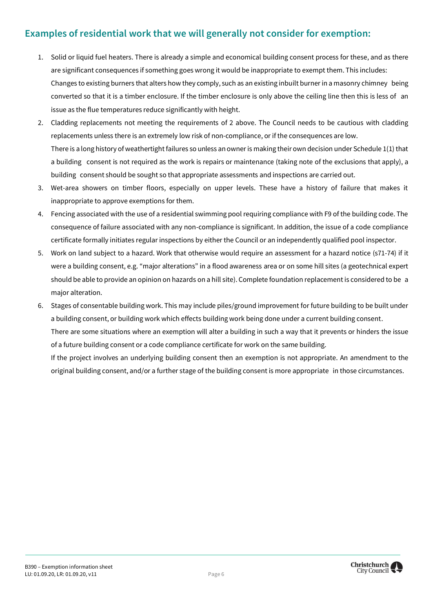# <span id="page-6-0"></span>**Examples of residential work that we will generally not consider for exemption:**

- 1. Solid or liquid fuel heaters. There is already a simple and economical building consent process for these, and as there are significant consequences if something goes wrong it would be inappropriate to exempt them. This includes: Changes to existing burners that alters how they comply, such as an existing inbuilt burner in a masonry chimney being converted so that it is a timber enclosure. If the timber enclosure is only above the ceiling line then this is less of an issue as the flue temperatures reduce significantly with height.
- 2. Cladding replacements not meeting the requirements of 2 above. The Council needs to be cautious with cladding replacements unless there is an extremely low risk of non-compliance, or if the consequences are low. There is a long history of weathertight failures so unless an owner is making their own decision under Schedule 1(1) that a building consent is not required as the work is repairs or maintenance (taking note of the exclusions that apply), a building consent should be sought so that appropriate assessments and inspections are carried out.
- 3. Wet-area showers on timber floors, especially on upper levels. These have a history of failure that makes it inappropriate to approve exemptions for them.
- 4. Fencing associated with the use of a residential swimming pool requiring compliance with F9 of the building code. The consequence of failure associated with any non-compliance is significant. In addition, the issue of a code compliance certificate formally initiates regular inspections by either the Council or an independently qualified pool inspector.
- 5. Work on land subject to a hazard. Work that otherwise would require an assessment for a hazard notice (s71-74) if it were a building consent, e.g. "major alterations" in a flood awareness area or on some hill sites (a geotechnical expert should be able to provide an opinion on hazards on a hill site). Complete foundation replacement is considered to be a major alteration.
- 6. Stages of consentable building work. This may include piles/ground improvement for future building to be built under a building consent, or building work which effects building work being done under a current building consent. There are some situations where an exemption will alter a building in such a way that it prevents or hinders the issue of a future building consent or a code compliance certificate for work on the same building. If the project involves an underlying building consent then an exemption is not appropriate. An amendment to the original building consent, and/or a further stage of the building consent is more appropriate in those circumstances.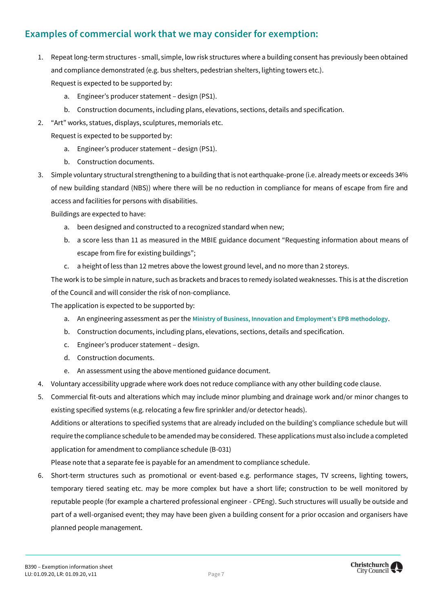# <span id="page-7-0"></span>**Examples of commercial work that we may consider for exemption:**

- 1. Repeat long-term structures small, simple, low risk structures where a building consent has previously been obtained and compliance demonstrated (e.g. bus shelters, pedestrian shelters, lighting towers etc.). Request is expected to be supported by:
	- a. Engineer's producer statement design (PS1).
	- b. Construction documents, including plans, elevations, sections, details and specification.
- 2. "Art" works, statues, displays, sculptures, memorials etc.

Request is expected to be supported by:

- a. Engineer's producer statement design (PS1).
- b. Construction documents.
- 3. Simple voluntary structural strengthening to a building that is not earthquake-prone (i.e. already meets or exceeds 34% of new building standard (NBS)) where there will be no reduction in compliance for means of escape from fire and access and facilities for persons with disabilities.

Buildings are expected to have:

- a. been designed and constructed to a recognized standard when new;
- b. a score less than 11 as measured in the MBIE guidance document "Requesting information about means of escape from fire for existing buildings";
- c. a height of less than 12 metres above the lowest ground level, and no more than 2 storeys.

The work is to be simple in nature, such as brackets and braces to remedy isolated weaknesses. This is at the discretion of the Council and will consider the risk of non-compliance.

The application is expected to be supported by:

- a. An engineering assessment as per the **[Ministry of Business, Innovation and Employment's EPB methodology](https://www.building.govt.nz/building-code-compliance/b-stability/b1-structure/methodology-identify-earthquake-prone-buildings/)**.
- b. Construction documents, including plans, elevations, sections, details and specification.
- c. Engineer's producer statement design.
- d. Construction documents.
- e. An assessment using the above mentioned guidance document.
- 4. Voluntary accessibility upgrade where work does not reduce compliance with any other building code clause.
- 5. Commercial fit-outs and alterations which may include minor plumbing and drainage work and/or minor changes to existing specified systems (e.g. relocating a few fire sprinkler and/or detector heads). Additions or alterations to specified systems that are already included on the building's compliance schedule but will require the compliance schedule to be amended may be considered. These applications must also include a completed application for amendment to compliance schedule (B-031)

Please note that a separate fee is payable for an amendment to compliance schedule.

6. Short-term structures such as promotional or event-based e.g. performance stages, TV screens, lighting towers, temporary tiered seating etc. may be more complex but have a short life; construction to be well monitored by reputable people (for example a chartered professional engineer - CPEng). Such structures will usually be outside and part of a well-organised event; they may have been given a building consent for a prior occasion and organisers have planned people management.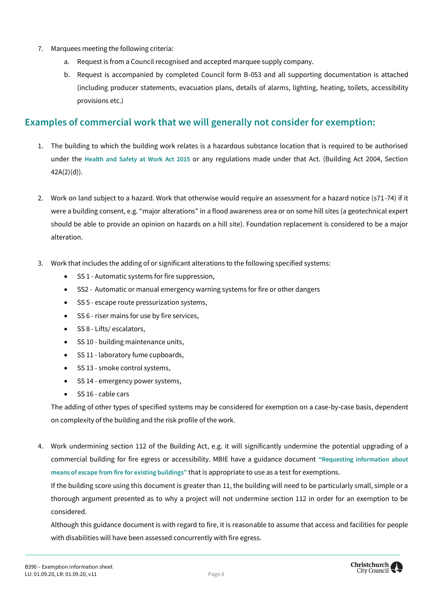- 7. Marquees meeting the following criteria:
	- a. Request is from a Council recognised and accepted marquee supply company.
	- b. Request is accompanied by completed Council form B-053 and all supporting documentation is attached (including producer statements, evacuation plans, details of alarms, lighting, heating, toilets, accessibility provisions etc.)

### <span id="page-8-0"></span>**Examples of commercial work that we will generally not consider for exemption:**

- 1. The building to which the building work relates is a hazardous substance location that is required to be authorised under the **[Health and Safety at Work Act 2015](https://www.westlaw.co.nz/maf/wlnz/app/document?docguid=I3c2bc6c6569711e59774dfc991d0b195&&src=rl&snippets=true&startChunk=1&endChunk=1&isTocNav=true&tocDs=AUNZ_NZ_LEGCOMM_TOC#anchor_I90027fb2554711e59774dfc991d0b195)** or any regulations made under that Act. (Building Act 2004, Section 42A(2)(d)).
- 2. Work on land subject to a hazard. Work that otherwise would require an assessment for a hazard notice (s71-74) if it were a building consent, e.g. "major alterations" in a flood awareness area or on some hill sites (a geotechnical expert should be able to provide an opinion on hazards on a hill site). Foundation replacement is considered to be a major alteration.
- 3. Work that includes the adding of or significant alterations to the following specified systems:
	- SS 1 Automatic systems for fire suppression,
	- SS2 Automatic or manual emergency warning systems for fire or other dangers
	- SS 5 escape route pressurization systems,
	- SS 6 riser mains for use by fire services,
	- SS 8 Lifts/ escalators,
	- SS 10 building maintenance units,
	- SS 11 laboratory fume cupboards,
	- SS 13 smoke control systems,
	- SS 14 emergency power systems,
	- SS 16 cable cars

The adding of other types of specified systems may be considered for exemption on a case-by-case basis, dependent on complexity of the building and the risk profile of the work.

4. Work undermining section 112 of the Building Act, e.g. it will significantly undermine the potential upgrading of a commercial building for fire egress or accessibility. MBIE have a guidance document **["Requesting information about](https://www.building.govt.nz/building-code-compliance/c-protection-from-fire/c-clauses-c1-c6/means-of-escape/)  [means of escape from fire for existing buildings"](https://www.building.govt.nz/building-code-compliance/c-protection-from-fire/c-clauses-c1-c6/means-of-escape/)** that is appropriate to use as a test for exemptions.

If the building score using this document is greater than 11, the building will need to be particularly small, simple or a thorough argument presented as to why a project will not undermine section 112 in order for an exemption to be considered.

Although this guidance document is with regard to fire, it is reasonable to assume that access and facilities for people with disabilities will have been assessed concurrently with fire egress.

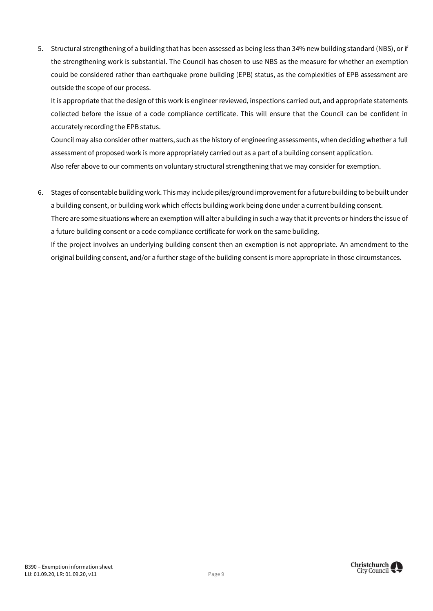5. Structural strengthening of a building that has been assessed as being less than 34% new building standard (NBS), or if the strengthening work is substantial. The Council has chosen to use NBS as the measure for whether an exemption could be considered rather than earthquake prone building (EPB) status, as the complexities of EPB assessment are outside the scope of our process.

It is appropriate that the design of this work is engineer reviewed, inspections carried out, and appropriate statements collected before the issue of a code compliance certificate. This will ensure that the Council can be confident in accurately recording the EPB status.

Council may also consider other matters, such as the history of engineering assessments, when deciding whether a full assessment of proposed work is more appropriately carried out as a part of a building consent application. Also refer above to our comments on voluntary structural strengthening that we may consider for exemption.

6. Stages of consentable building work. This may include piles/ground improvement for a future building to be built under a building consent, or building work which effects building work being done under a current building consent. There are some situations where an exemption will alter a building in such a way that it prevents or hinders the issue of a future building consent or a code compliance certificate for work on the same building. If the project involves an underlying building consent then an exemption is not appropriate. An amendment to the

original building consent, and/or a further stage of the building consent is more appropriate in those circumstances.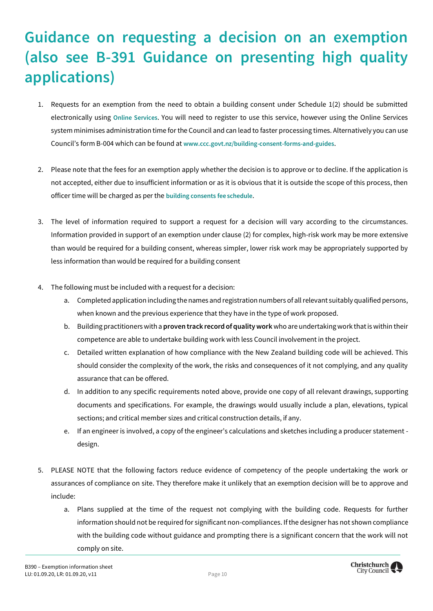# <span id="page-10-0"></span>**Guidance on requesting a decision on an exemption (also see B-391 Guidance on presenting high quality applications)**

- 1. Requests for an exemption from the need to obtain a building consent under Schedule 1(2) should be submitted electronically using **[Online Services](http://onlineservices.ccc.govt.nz/ePathway/Production/Web/Login/Login.aspx)**. You will need to register to use this service, however using the Online Services system minimises administration time for the Council and can lead to faster processing times. Alternatively you can use Council's form B-004 which can be found at **[www.ccc.govt.nz/building-consent-forms-and-guides](http://www.ccc.govt.nz/building-consent-forms-and-guides)**.
- 2. Please note that the fees for an exemption apply whether the decision is to approve or to decline. If the application is not accepted, either due to insufficient information or as it is obvious that it is outside the scope of this process, then officer time will be charged as per the **[building consents fee schedule](https://www.ccc.govt.nz/fees-building-control/)**.
- 3. The level of information required to support a request for a decision will vary according to the circumstances. Information provided in support of an exemption under clause (2) for complex, high-risk work may be more extensive than would be required for a building consent, whereas simpler, lower risk work may be appropriately supported by less information than would be required for a building consent
- 4. The following must be included with a request for a decision:
	- a. Completed application including the names and registration numbers of all relevant suitably qualified persons, when known and the previous experience that they have in the type of work proposed.
	- b. Building practitioners with a **proven track record of quality work** who are undertaking work that is within their competence are able to undertake building work with less Council involvement in the project.
	- c. Detailed written explanation of how compliance with the New Zealand building code will be achieved. This should consider the complexity of the work, the risks and consequences of it not complying, and any quality assurance that can be offered.
	- d. In addition to any specific requirements noted above, provide one copy of all relevant drawings, supporting documents and specifications. For example, the drawings would usually include a plan, elevations, typical sections; and critical member sizes and critical construction details, if any.
	- e. If an engineer is involved, a copy of the engineer's calculations and sketches including a producer statement design.
- 5. PLEASE NOTE that the following factors reduce evidence of competency of the people undertaking the work or assurances of compliance on site. They therefore make it unlikely that an exemption decision will be to approve and include:
	- a. Plans supplied at the time of the request not complying with the building code. Requests for further information should not be required for significant non-compliances. If the designer has not shown compliance with the building code without guidance and prompting there is a significant concern that the work will not comply on site.

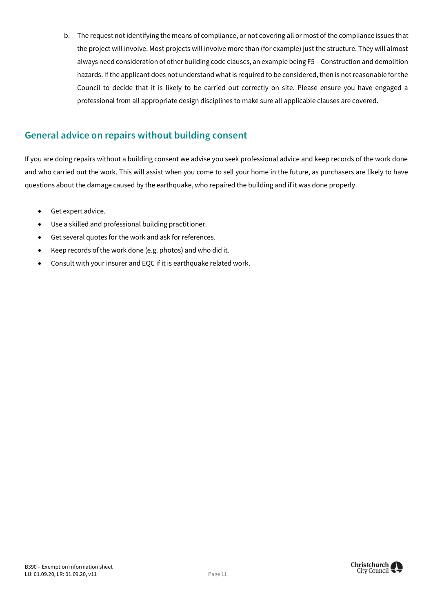b. The request not identifying the means of compliance, or not covering all or most of the compliance issues that the project will involve. Most projects will involve more than (for example) just the structure. They will almost always need consideration of other building code clauses, an example being F5 – Construction and demolition hazards. If the applicant does not understand what is required to be considered, then is not reasonable for the Council to decide that it is likely to be carried out correctly on site. Please ensure you have engaged a professional from all appropriate design disciplines to make sure all applicable clauses are covered.

# <span id="page-11-0"></span>**General advice on repairs without building consent**

If you are doing repairs without a building consent we advise you seek professional advice and keep records of the work done and who carried out the work. This will assist when you come to sell your home in the future, as purchasers are likely to have questions about the damage caused by the earthquake, who repaired the building and if it was done properly.

- Get expert advice.
- Use a skilled and professional building practitioner.
- Get several quotes for the work and ask for references.
- Keep records of the work done (e.g. photos) and who did it.
- Consult with your insurer and EQC if it is earthquake related work.

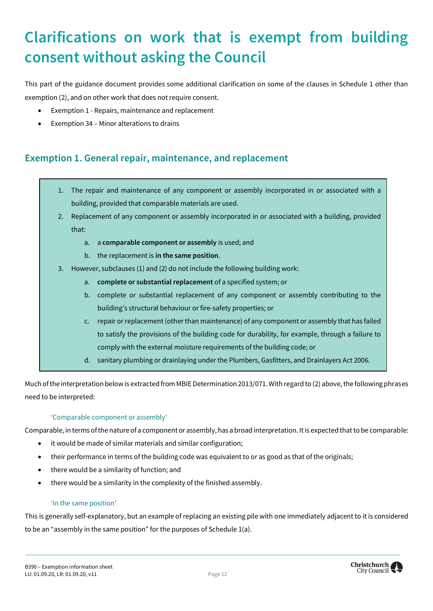# <span id="page-12-0"></span>**Clarifications on work that is exempt from building consent without asking the Council**

This part of the guidance document provides some additional clarification on some of the clauses in Schedule 1 other than exemption (2), and on other work that does not require consent.

- Exemption 1 Repairs, maintenance and replacement
- Exemption 34 Minor alterations to drains

# <span id="page-12-1"></span>**Exemption 1. General repair, maintenance, and replacement**

- 1. The repair and maintenance of any component or assembly incorporated in or associated with a building, provided that comparable materials are used.
- 2. Replacement of any component or assembly incorporated in or associated with a building, provided that:
	- a. a **comparable component or assembly** is used; and
	- b. the replacement is **in the same position**.
- 3. However, subclauses (1) and (2) do not include the following building work:
	- a. **complete or substantial replacement** of a specified system; or
	- b. complete or substantial replacement of any component or assembly contributing to the building's structural behaviour or fire-safety properties; or
	- c. repair or replacement (other than maintenance) of any component or assembly that has failed to satisfy the provisions of the building code for durability, for example, through a failure to comply with the external moisture requirements of the building code; or
	- d. sanitary plumbing or drainlaying under the Plumbers, Gasfitters, and Drainlayers Act 2006.

Much of the interpretation below is extracted from MBIE Determination 2013/071. With regard to (2) above, the following phrases need to be interpreted:

#### 'Comparable component or assembly'

Comparable, in terms of the nature of a component or assembly, has a broad interpretation. It is expected that to be comparable:

- it would be made of similar materials and similar configuration;
- their performance in terms of the building code was equivalent to or as good as that of the originals;
- there would be a similarity of function; and
- there would be a similarity in the complexity of the finished assembly.

#### 'In the same position'

This is generally self-explanatory, but an example of replacing an existing pile with one immediately adjacent to it is considered to be an "assembly in the same position" for the purposes of Schedule 1(a).

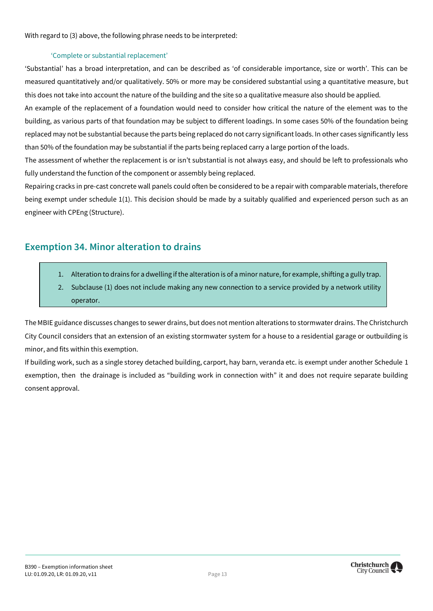With regard to (3) above, the following phrase needs to be interpreted:

#### 'Complete or substantial replacement'

'Substantial' has a broad interpretation, and can be described as 'of considerable importance, size or worth'. This can be measured quantitatively and/or qualitatively. 50% or more may be considered substantial using a quantitative measure, but this does not take into account the nature of the building and the site so a qualitative measure also should be applied.

An example of the replacement of a foundation would need to consider how critical the nature of the element was to the building, as various parts of that foundation may be subject to different loadings. In some cases 50% of the foundation being replaced may not be substantial because the parts being replaced do not carry significant loads. In other cases significantly less than 50% of the foundation may be substantial if the parts being replaced carry a large portion of the loads.

The assessment of whether the replacement is or isn't substantial is not always easy, and should be left to professionals who fully understand the function of the component or assembly being replaced.

Repairing cracks in pre-cast concrete wall panels could often be considered to be a repair with comparable materials, therefore being exempt under schedule 1(1). This decision should be made by a suitably qualified and experienced person such as an engineer with CPEng (Structure).

### <span id="page-13-0"></span>**Exemption 34. Minor alteration to drains**

- 1. Alteration to drains for a dwelling if the alteration is of a minor nature, for example, shifting a gully trap.
- 2. Subclause (1) does not include making any new connection to a service provided by a network utility operator.

The MBIE guidance discusses changes to sewer drains, but does not mention alterations to stormwater drains. The Christchurch City Council considers that an extension of an existing stormwater system for a house to a residential garage or outbuilding is minor, and fits within this exemption.

If building work, such as a single storey detached building, carport, hay barn, veranda etc. is exempt under another Schedule 1 exemption, then the drainage is included as "building work in connection with" it and does not require separate building consent approval.

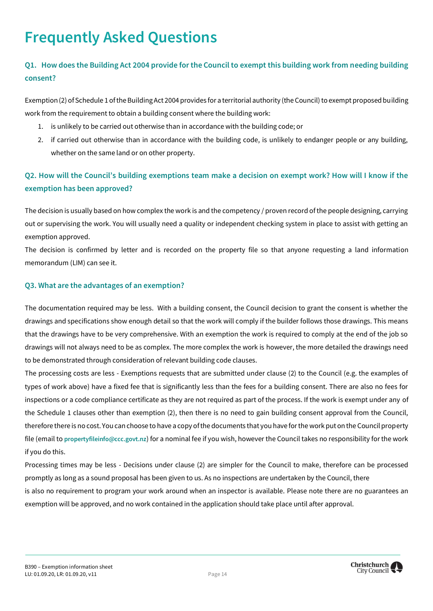# <span id="page-14-0"></span>**Frequently Asked Questions**

### **Q1. How does the Building Act 2004 provide for the Council to exempt this building work from needing building consent?**

Exemption (2) of Schedule 1 of the Building Act 2004 provides for a territorial authority (the Council) to exempt proposed building work from the requirement to obtain a building consent where the building work:

- 1. is unlikely to be carried out otherwise than in accordance with the building code; or
- 2. if carried out otherwise than in accordance with the building code, is unlikely to endanger people or any building, whether on the same land or on other property.

### **Q2. How will the Council's building exemptions team make a decision on exempt work? How will I know if the exemption has been approved?**

The decision is usually based on how complex the work is and the competency / proven record of the people designing, carrying out or supervising the work. You will usually need a quality or independent checking system in place to assist with getting an exemption approved.

The decision is confirmed by letter and is recorded on the property file so that anyone requesting a land information memorandum (LIM) can see it.

#### **Q3. What are the advantages of an exemption?**

The documentation required may be less. With a building consent, the Council decision to grant the consent is whether the drawings and specifications show enough detail so that the work will comply if the builder follows those drawings. This means that the drawings have to be very comprehensive. With an exemption the work is required to comply at the end of the job so drawings will not always need to be as complex. The more complex the work is however, the more detailed the drawings need to be demonstrated through consideration of relevant building code clauses.

The processing costs are less - Exemptions requests that are submitted under clause (2) to the Council (e.g. the examples of types of work above) have a fixed fee that is significantly less than the fees for a building consent. There are also no fees for inspections or a code compliance certificate as they are not required as part of the process. If the work is exempt under any of the Schedule 1 clauses other than exemption (2), then there is no need to gain building consent approval from the Council, therefore there is no cost. You can choose to have a copy of the documents that you have for the work put on the Council property file (email to **[propertyfileinfo@ccc.govt.nz](mailto:propertyfileinfo@ccc.govt.nz)**) for a nominal fee if you wish, however the Council takes no responsibility for the work if you do this.

Processing times may be less - Decisions under clause (2) are simpler for the Council to make, therefore can be processed promptly as long as a sound proposal has been given to us. As no inspections are undertaken by the Council, there

is also no requirement to program your work around when an inspector is available. Please note there are no guarantees an exemption will be approved, and no work contained in the application should take place until after approval.

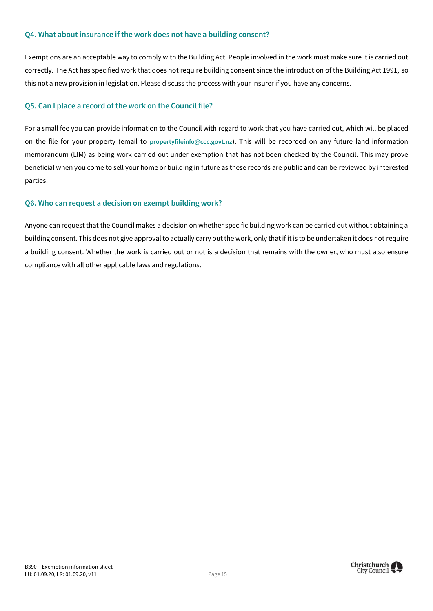#### **Q4. What about insurance if the work does not have a building consent?**

Exemptions are an acceptable way to comply with the Building Act. People involved in the work must make sure it is carried out correctly. The Act has specified work that does not require building consent since the introduction of the Building Act 1991, so this not a new provision in legislation. Please discuss the process with your insurer if you have any concerns.

#### **Q5. Can I place a record of the work on the Council file?**

For a small fee you can provide information to the Council with regard to work that you have carried out, which will be placed on the file for your property (email to **[propertyfileinfo@ccc.govt.nz](mailto:propertyfileinfo@ccc.govt.nz)**). This will be recorded on any future land information memorandum (LIM) as being work carried out under exemption that has not been checked by the Council. This may prove beneficial when you come to sell your home or building in future as these records are public and can be reviewed by interested parties.

#### **Q6. Who can request a decision on exempt building work?**

Anyone can request that the Council makes a decision on whether specific building work can be carried out without obtaining a building consent. This does not give approval to actually carry out the work, only that if it is to be undertaken it does not require a building consent. Whether the work is carried out or not is a decision that remains with the owner, who must also ensure compliance with all other applicable laws and regulations.